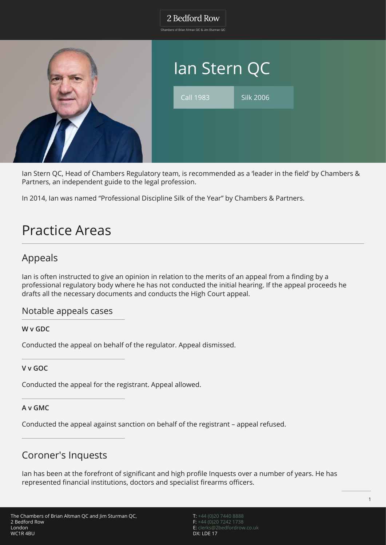Chambers of Brian Altman QC & Jim Sturman QC



Ian Stern QC, Head of Chambers Regulatory team, is recommended as a 'leader in the field' by Chambers & Partners, an independent guide to the legal profession.

In 2014, Ian was named "Professional Discipline Silk of the Year" by Chambers & Partners.

# Practice Areas

# Appeals

Ian is often instructed to give an opinion in relation to the merits of an appeal from a finding by a professional regulatory body where he has not conducted the initial hearing. If the appeal proceeds he drafts all the necessary documents and conducts the High Court appeal.

### Notable appeals cases

**W v GDC**

Conducted the appeal on behalf of the regulator. Appeal dismissed.

**V v GOC**

Conducted the appeal for the registrant. Appeal allowed.

### **A v GMC**

Conducted the appeal against sanction on behalf of the registrant – appeal refused.

## Coroner's Inquests

Ian has been at the forefront of significant and high profile Inquests over a number of years. He has represented financial institutions, doctors and specialist firearms officers.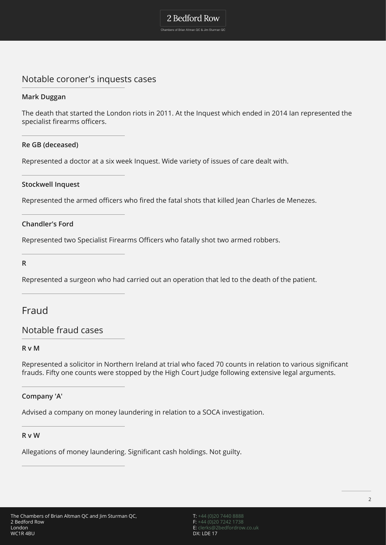Chambers of Brian Altman QC & Jim Sturman QC

### Notable coroner's inquests cases

### **Mark Duggan**

The death that started the London riots in 2011. At the Inquest which ended in 2014 Ian represented the specialist firearms officers.

### **Re GB (deceased)**

Represented a doctor at a six week Inquest. Wide variety of issues of care dealt with.

### **Stockwell Inquest**

Represented the armed officers who fired the fatal shots that killed Jean Charles de Menezes.

### **Chandler's Ford**

Represented two Specialist Firearms Officers who fatally shot two armed robbers.

**R**

Represented a surgeon who had carried out an operation that led to the death of the patient.

### Fraud

### Notable fraud cases

### **R v M**

Represented a solicitor in Northern Ireland at trial who faced 70 counts in relation to various significant frauds. Fifty one counts were stopped by the High Court Judge following extensive legal arguments.

### **Company 'A'**

Advised a company on money laundering in relation to a SOCA investigation.

### **R v W**

Allegations of money laundering. Significant cash holdings. Not guilty.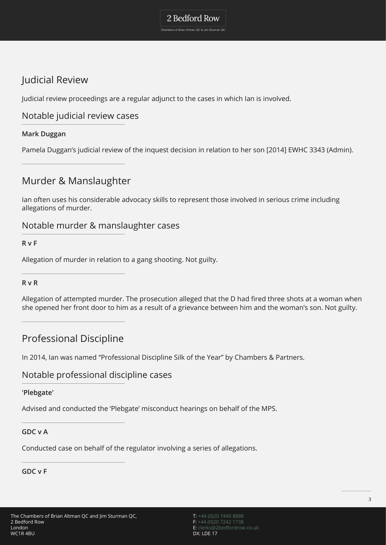Chambers of Brian Altman QC & Jim Sturman QC

# Judicial Review

Judicial review proceedings are a regular adjunct to the cases in which Ian is involved.

### Notable judicial review cases

### **Mark Duggan**

Pamela Duggan's judicial review of the inquest decision in relation to her son [2014] EWHC 3343 (Admin).

# Murder & Manslaughter

Ian often uses his considerable advocacy skills to represent those involved in serious crime including allegations of murder.

### Notable murder & manslaughter cases

**R v F**

Allegation of murder in relation to a gang shooting. Not guilty.

### **R v R**

Allegation of attempted murder. The prosecution alleged that the D had fired three shots at a woman when she opened her front door to him as a result of a grievance between him and the woman's son. Not guilty.

## Professional Discipline

In 2014, Ian was named "Professional Discipline Silk of the Year" by Chambers & Partners.

### Notable professional discipline cases

### **'Plebgate'**

Advised and conducted the 'Plebgate' misconduct hearings on behalf of the MPS.

### **GDC v A**

Conducted case on behalf of the regulator involving a series of allegations.

### **GDC v F**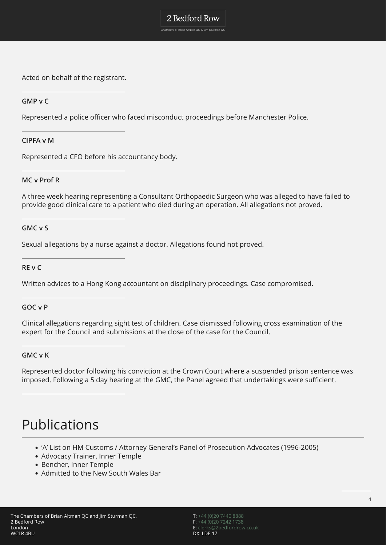2 Bedford Row Chambers of Brian Altman QC & Jim Sturman QC

Acted on behalf of the registrant.

### **GMP v C**

Represented a police officer who faced misconduct proceedings before Manchester Police.

#### **CIPFA v M**

Represented a CFO before his accountancy body.

#### **MC v Prof R**

A three week hearing representing a Consultant Orthopaedic Surgeon who was alleged to have failed to provide good clinical care to a patient who died during an operation. All allegations not proved.

#### **GMC v S**

Sexual allegations by a nurse against a doctor. Allegations found not proved.

**RE v C**

Written advices to a Hong Kong accountant on disciplinary proceedings. Case compromised.

#### **GOC v P**

Clinical allegations regarding sight test of children. Case dismissed following cross examination of the expert for the Council and submissions at the close of the case for the Council.

#### **GMC v K**

Represented doctor following his conviction at the Crown Court where a suspended prison sentence was imposed. Following a 5 day hearing at the GMC, the Panel agreed that undertakings were sufficient.

# Publications

- 'A' List on HM Customs / Attorney General's Panel of Prosecution Advocates (1996-2005)
- Advocacy Trainer, Inner Temple
- Bencher, Inner Temple
- Admitted to the New South Wales Bar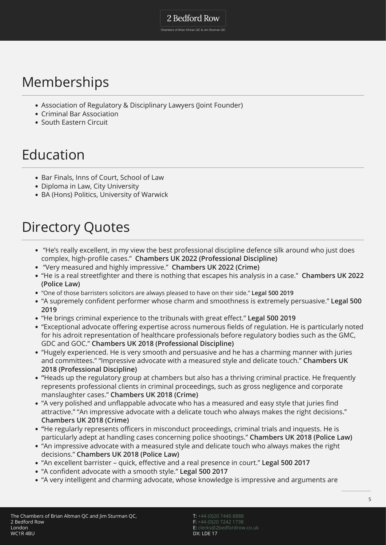#### Chambers of Brian Altman QC & Jim Sturman QC

# Memberships

- Association of Regulatory & Disciplinary Lawyers (Joint Founder)
- Criminal Bar Association
- South Eastern Circuit

# Education

- Bar Finals, Inns of Court, School of Law
- Diploma in Law, City University
- BA (Hons) Politics, University of Warwick

# Directory Quotes

- "He's really excellent, in my view the best professional discipline defence silk around who just does complex, high-profile cases." **Chambers UK 2022 (Professional Discipline)**
- "Very measured and highly impressive." **Chambers UK 2022 (Crime)**
- "He is a real streetfighter and there is nothing that escapes his analysis in a case." **Chambers UK 2022 (Police Law)**
- "One of those barristers solicitors are always pleased to have on their side." **Legal 500 2019**
- "A supremely confident performer whose charm and smoothness is extremely persuasive." **Legal 500 2019**
- "He brings criminal experience to the tribunals with great effect." **Legal 500 2019**
- "Exceptional advocate offering expertise across numerous fields of regulation. He is particularly noted for his adroit representation of healthcare professionals before regulatory bodies such as the GMC, GDC and GOC." **Chambers UK 2018 (Professional Discipline)**
- "Hugely experienced. He is very smooth and persuasive and he has a charming manner with juries and committees." "Impressive advocate with a measured style and delicate touch." **Chambers UK 2018 (Professional Discipline)**
- **"**Heads up the regulatory group at chambers but also has a thriving criminal practice. He frequently represents professional clients in criminal proceedings, such as gross negligence and corporate manslaughter cases." **Chambers UK 2018 (Crime)**
- "A very polished and unflappable advocate who has a measured and easy style that juries find attractive." "An impressive advocate with a delicate touch who always makes the right decisions." **Chambers UK 2018 (Crime)**
- **"**He regularly represents officers in misconduct proceedings, criminal trials and inquests. He is particularly adept at handling cases concerning police shootings." **Chambers UK 2018 (Police Law)**
- "An impressive advocate with a measured style and delicate touch who always makes the right decisions." **Chambers UK 2018 (Police Law)**
- "An excellent barrister quick, effective and a real presence in court." **Legal 500 2017**
- "A confident advocate with a smooth style." **Legal 500 2017**
- "A very intelligent and charming advocate, whose knowledge is impressive and arguments are